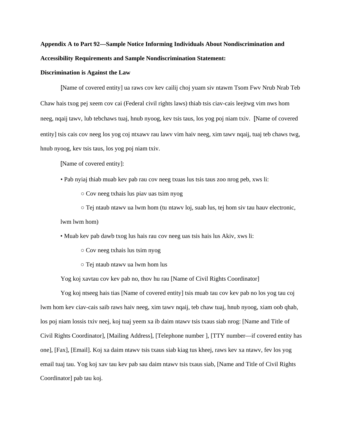## **Appendix A to Part 92—Sample Notice Informing Individuals About Nondiscrimination and Accessibility Requirements and Sample Nondiscrimination Statement:**

## **Discrimination is Against the Law**

[Name of covered entity] ua raws cov kev cailij choj yuam siv ntawm Tsom Fwv Nrub Nrab Teb Chaw hais txog pej xeem cov cai (Federal civil rights laws) thiab tsis ciav-cais leejtwg vim nws hom neeg, nqaij tawv, lub tebchaws tuaj, hnub nyoog, kev tsis taus, los yog poj niam txiv. [Name of covered entity] tsis cais cov neeg los yog coj ntxawv rau lawv vim haiv neeg, xim tawv nqaij, tuaj teb chaws twg, hnub nyoog, kev tsis taus, los yog poj niam txiv.

[Name of covered entity]:

- Pab nyiaj thiab muab kev pab rau cov neeg txuas lus tsis taus zoo nrog peb, xws li:
	- Cov neeg txhais lus piav uas tsim nyog

 $\circ$  Tej ntaub ntawv ua lwm hom (tu ntawv loj, suab lus, tej hom siv tau hauv electronic, lwm lwm hom)

• Muab kev pab dawb txog lus hais rau cov neeg uas tsis hais lus Akiv, xws li:

- Cov neeg txhais lus tsim nyog
- Tej ntaub ntawv ua lwm hom lus

Yog koj xavtau cov kev pab no, thov hu rau [Name of Civil Rights Coordinator]

Yog koj ntseeg hais tias [Name of covered entity] tsis muab tau cov kev pab no los yog tau coj lwm hom kev ciav-cais saib raws haiv neeg, xim tawv nqaij, teb chaw tuaj, hnub nyoog, xiam oob qhab, los poj niam lossis txiv neej, koj tuaj yeem xa ib daim ntawv tsis txaus siab nrog: [Name and Title of Civil Rights Coordinator], [Mailing Address], [Telephone number ], [TTY number—if covered entity has one], [Fax], [Email]. Koj xa daim ntawv tsis txaus siab kiag tus kheej, raws kev xa ntawv, fev los yog email tuaj tau. Yog koj xav tau kev pab sau daim ntawv tsis txaus siab, [Name and Title of Civil Rights Coordinator] pab tau koj.